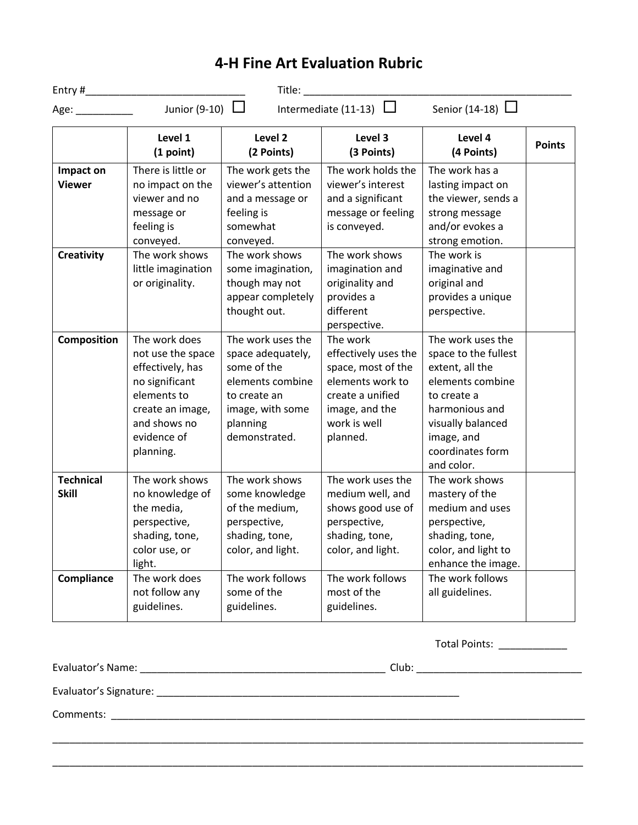## **4-H Fine Art Evaluation Rubric**

|                                  |                                                                                                                                                         | Title:                                                                                                                                     |                                                                                                                                              |                                                                                                                                                                                        |               |
|----------------------------------|---------------------------------------------------------------------------------------------------------------------------------------------------------|--------------------------------------------------------------------------------------------------------------------------------------------|----------------------------------------------------------------------------------------------------------------------------------------------|----------------------------------------------------------------------------------------------------------------------------------------------------------------------------------------|---------------|
| Age:                             | Junior (9-10) $\Box$                                                                                                                                    |                                                                                                                                            | Intermediate (11-13) $\Box$                                                                                                                  | Senior (14-18) $\Box$                                                                                                                                                                  |               |
|                                  | Level 1<br>(1 point)                                                                                                                                    | Level 2<br>(2 Points)                                                                                                                      | Level 3<br>(3 Points)                                                                                                                        | Level 4<br>(4 Points)                                                                                                                                                                  | <b>Points</b> |
| Impact on<br><b>Viewer</b>       | There is little or<br>no impact on the<br>viewer and no<br>message or<br>feeling is<br>conveyed.                                                        | The work gets the<br>viewer's attention<br>and a message or<br>feeling is<br>somewhat<br>conveyed.                                         | The work holds the<br>viewer's interest<br>and a significant<br>message or feeling<br>is conveyed.                                           | The work has a<br>lasting impact on<br>the viewer, sends a<br>strong message<br>and/or evokes a<br>strong emotion.                                                                     |               |
| <b>Creativity</b>                | The work shows<br>little imagination<br>or originality.                                                                                                 | The work shows<br>some imagination,<br>though may not<br>appear completely<br>thought out.                                                 | The work shows<br>imagination and<br>originality and<br>provides a<br>different<br>perspective.                                              | The work is<br>imaginative and<br>original and<br>provides a unique<br>perspective.                                                                                                    |               |
| Composition                      | The work does<br>not use the space<br>effectively, has<br>no significant<br>elements to<br>create an image,<br>and shows no<br>evidence of<br>planning. | The work uses the<br>space adequately,<br>some of the<br>elements combine<br>to create an<br>image, with some<br>planning<br>demonstrated. | The work<br>effectively uses the<br>space, most of the<br>elements work to<br>create a unified<br>image, and the<br>work is well<br>planned. | The work uses the<br>space to the fullest<br>extent, all the<br>elements combine<br>to create a<br>harmonious and<br>visually balanced<br>image, and<br>coordinates form<br>and color. |               |
| <b>Technical</b><br><b>Skill</b> | The work shows<br>no knowledge of<br>the media,<br>perspective,<br>shading, tone,<br>color use, or<br>light.                                            | The work shows<br>some knowledge<br>of the medium,<br>perspective,<br>shading, tone,<br>color, and light.                                  | The work uses the<br>medium well, and<br>shows good use of<br>perspective,<br>shading, tone,<br>color, and light.                            | The work shows<br>mastery of the<br>medium and uses<br>perspective,<br>shading, tone,<br>color, and light to<br>enhance the image.                                                     |               |
| Compliance                       | The work does<br>not follow any<br>guidelines.                                                                                                          | The work follows<br>some of the<br>guidelines.                                                                                             | The work follows<br>most of the<br>guidelines.                                                                                               | The work follows<br>all guidelines.                                                                                                                                                    |               |

Total Points: \_\_\_\_\_\_\_\_\_\_\_\_

Evaluator's Name: \_\_\_\_\_\_\_\_\_\_\_\_\_\_\_\_\_\_\_\_\_\_\_\_\_\_\_\_\_\_\_\_\_\_\_\_\_\_\_\_\_\_\_ Club: \_\_\_\_\_\_\_\_\_\_\_\_\_\_\_\_\_\_\_\_\_\_\_\_\_\_\_\_\_

\_\_\_\_\_\_\_\_\_\_\_\_\_\_\_\_\_\_\_\_\_\_\_\_\_\_\_\_\_\_\_\_\_\_\_\_\_\_\_\_\_\_\_\_\_\_\_\_\_\_\_\_\_\_\_\_\_\_\_\_\_\_\_\_\_\_\_\_\_\_\_\_\_\_\_\_\_\_\_\_\_\_\_\_\_\_\_\_\_\_\_\_\_

\_\_\_\_\_\_\_\_\_\_\_\_\_\_\_\_\_\_\_\_\_\_\_\_\_\_\_\_\_\_\_\_\_\_\_\_\_\_\_\_\_\_\_\_\_\_\_\_\_\_\_\_\_\_\_\_\_\_\_\_\_\_\_\_\_\_\_\_\_\_\_\_\_\_\_\_\_\_\_\_\_\_\_\_\_\_\_\_\_\_\_\_\_

Evaluator's Signature: \_\_\_\_\_\_\_\_\_\_\_\_\_\_\_\_\_\_\_\_\_\_\_\_\_\_\_\_\_\_\_\_\_\_\_\_\_\_\_\_\_\_\_\_\_\_\_\_\_\_\_\_\_

Comments: \_\_\_\_\_\_\_\_\_\_\_\_\_\_\_\_\_\_\_\_\_\_\_\_\_\_\_\_\_\_\_\_\_\_\_\_\_\_\_\_\_\_\_\_\_\_\_\_\_\_\_\_\_\_\_\_\_\_\_\_\_\_\_\_\_\_\_\_\_\_\_\_\_\_\_\_\_\_\_\_\_\_\_